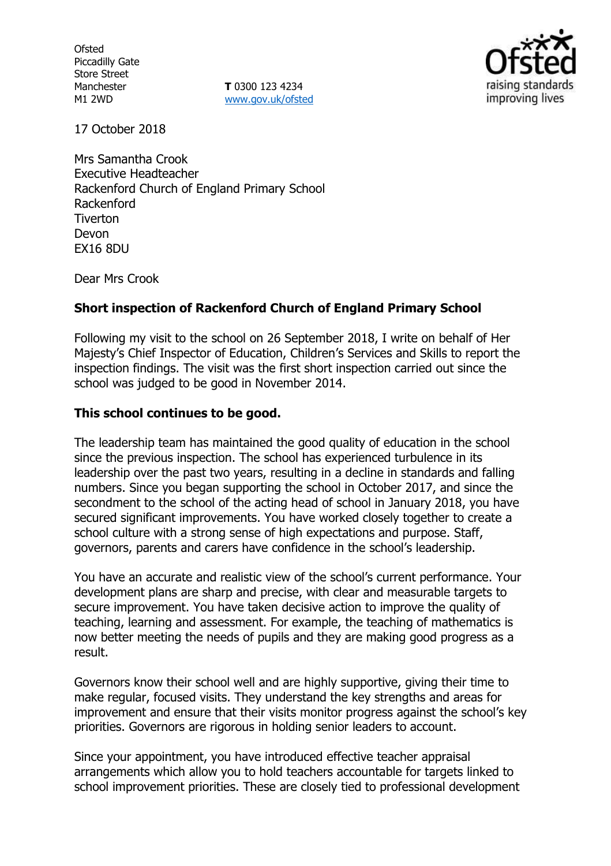**Ofsted** Piccadilly Gate Store Street Manchester M1 2WD

**T** 0300 123 4234 www.gov.uk/ofsted



17 October 2018

Mrs Samantha Crook Executive Headteacher Rackenford Church of England Primary School Rackenford Tiverton Devon EX16 8DU

Dear Mrs Crook

## **Short inspection of Rackenford Church of England Primary School**

Following my visit to the school on 26 September 2018, I write on behalf of Her Majesty's Chief Inspector of Education, Children's Services and Skills to report the inspection findings. The visit was the first short inspection carried out since the school was judged to be good in November 2014.

## **This school continues to be good.**

The leadership team has maintained the good quality of education in the school since the previous inspection. The school has experienced turbulence in its leadership over the past two years, resulting in a decline in standards and falling numbers. Since you began supporting the school in October 2017, and since the secondment to the school of the acting head of school in January 2018, you have secured significant improvements. You have worked closely together to create a school culture with a strong sense of high expectations and purpose. Staff, governors, parents and carers have confidence in the school's leadership.

You have an accurate and realistic view of the school's current performance. Your development plans are sharp and precise, with clear and measurable targets to secure improvement. You have taken decisive action to improve the quality of teaching, learning and assessment. For example, the teaching of mathematics is now better meeting the needs of pupils and they are making good progress as a result.

Governors know their school well and are highly supportive, giving their time to make regular, focused visits. They understand the key strengths and areas for improvement and ensure that their visits monitor progress against the school's key priorities. Governors are rigorous in holding senior leaders to account.

Since your appointment, you have introduced effective teacher appraisal arrangements which allow you to hold teachers accountable for targets linked to school improvement priorities. These are closely tied to professional development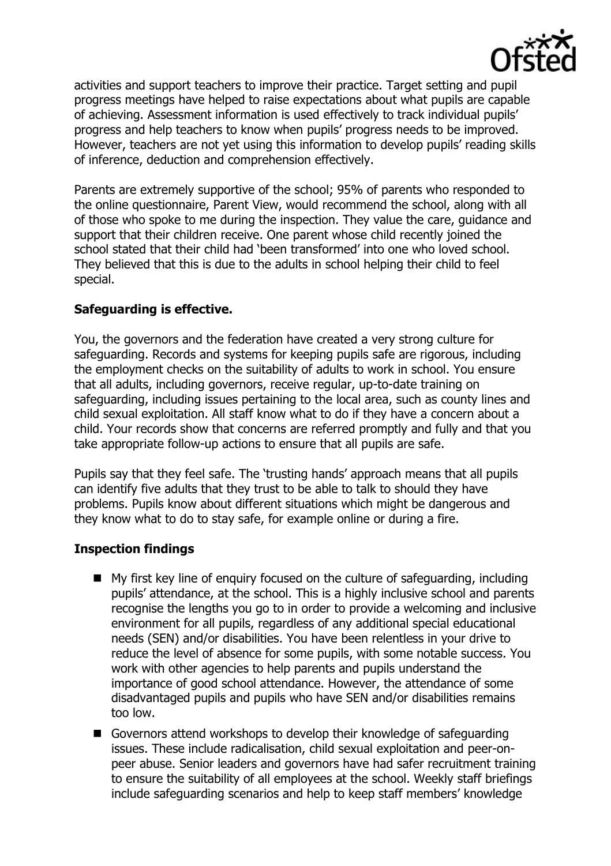

activities and support teachers to improve their practice. Target setting and pupil progress meetings have helped to raise expectations about what pupils are capable of achieving. Assessment information is used effectively to track individual pupils' progress and help teachers to know when pupils' progress needs to be improved. However, teachers are not yet using this information to develop pupils' reading skills of inference, deduction and comprehension effectively.

Parents are extremely supportive of the school; 95% of parents who responded to the online questionnaire, Parent View, would recommend the school, along with all of those who spoke to me during the inspection. They value the care, guidance and support that their children receive. One parent whose child recently joined the school stated that their child had 'been transformed' into one who loved school. They believed that this is due to the adults in school helping their child to feel special.

# **Safeguarding is effective.**

You, the governors and the federation have created a very strong culture for safeguarding. Records and systems for keeping pupils safe are rigorous, including the employment checks on the suitability of adults to work in school. You ensure that all adults, including governors, receive regular, up-to-date training on safeguarding, including issues pertaining to the local area, such as county lines and child sexual exploitation. All staff know what to do if they have a concern about a child. Your records show that concerns are referred promptly and fully and that you take appropriate follow-up actions to ensure that all pupils are safe.

Pupils say that they feel safe. The 'trusting hands' approach means that all pupils can identify five adults that they trust to be able to talk to should they have problems. Pupils know about different situations which might be dangerous and they know what to do to stay safe, for example online or during a fire.

## **Inspection findings**

- My first key line of enquiry focused on the culture of safeguarding, including pupils' attendance, at the school. This is a highly inclusive school and parents recognise the lengths you go to in order to provide a welcoming and inclusive environment for all pupils, regardless of any additional special educational needs (SEN) and/or disabilities. You have been relentless in your drive to reduce the level of absence for some pupils, with some notable success. You work with other agencies to help parents and pupils understand the importance of good school attendance. However, the attendance of some disadvantaged pupils and pupils who have SEN and/or disabilities remains too low.
- Governors attend workshops to develop their knowledge of safeguarding issues. These include radicalisation, child sexual exploitation and peer-onpeer abuse. Senior leaders and governors have had safer recruitment training to ensure the suitability of all employees at the school. Weekly staff briefings include safeguarding scenarios and help to keep staff members' knowledge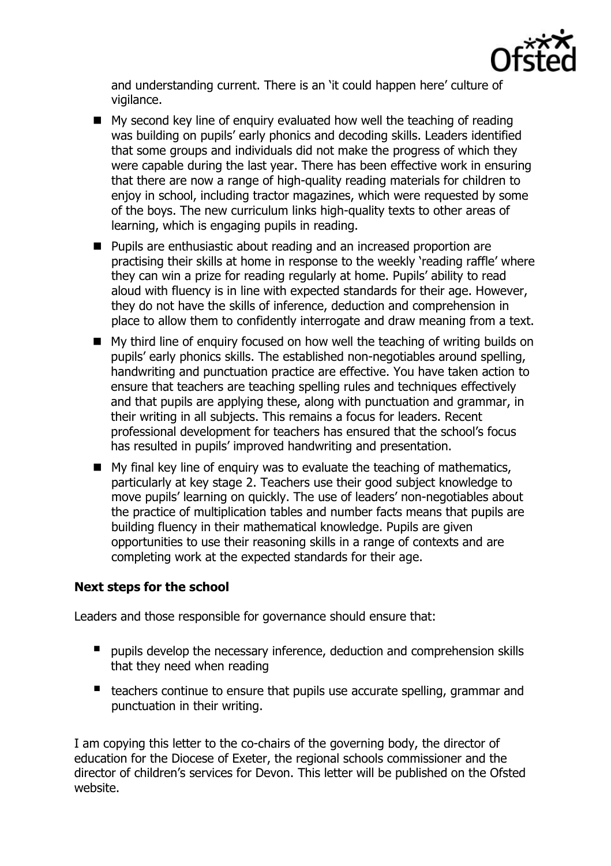

and understanding current. There is an 'it could happen here' culture of vigilance.

- $\blacksquare$  My second key line of enquiry evaluated how well the teaching of reading was building on pupils' early phonics and decoding skills. Leaders identified that some groups and individuals did not make the progress of which they were capable during the last year. There has been effective work in ensuring that there are now a range of high-quality reading materials for children to enjoy in school, including tractor magazines, which were requested by some of the boys. The new curriculum links high-quality texts to other areas of learning, which is engaging pupils in reading.
- **Pupils are enthusiastic about reading and an increased proportion are** practising their skills at home in response to the weekly 'reading raffle' where they can win a prize for reading regularly at home. Pupils' ability to read aloud with fluency is in line with expected standards for their age. However, they do not have the skills of inference, deduction and comprehension in place to allow them to confidently interrogate and draw meaning from a text.
- My third line of enquiry focused on how well the teaching of writing builds on pupils' early phonics skills. The established non-negotiables around spelling, handwriting and punctuation practice are effective. You have taken action to ensure that teachers are teaching spelling rules and techniques effectively and that pupils are applying these, along with punctuation and grammar, in their writing in all subjects. This remains a focus for leaders. Recent professional development for teachers has ensured that the school's focus has resulted in pupils' improved handwriting and presentation.
- $\blacksquare$  My final key line of enquiry was to evaluate the teaching of mathematics, particularly at key stage 2. Teachers use their good subject knowledge to move pupils' learning on quickly. The use of leaders' non-negotiables about the practice of multiplication tables and number facts means that pupils are building fluency in their mathematical knowledge. Pupils are given opportunities to use their reasoning skills in a range of contexts and are completing work at the expected standards for their age.

## **Next steps for the school**

Leaders and those responsible for governance should ensure that:

- **P** pupils develop the necessary inference, deduction and comprehension skills that they need when reading
- teachers continue to ensure that pupils use accurate spelling, grammar and punctuation in their writing.

I am copying this letter to the co-chairs of the governing body, the director of education for the Diocese of Exeter, the regional schools commissioner and the director of children's services for Devon. This letter will be published on the Ofsted website.